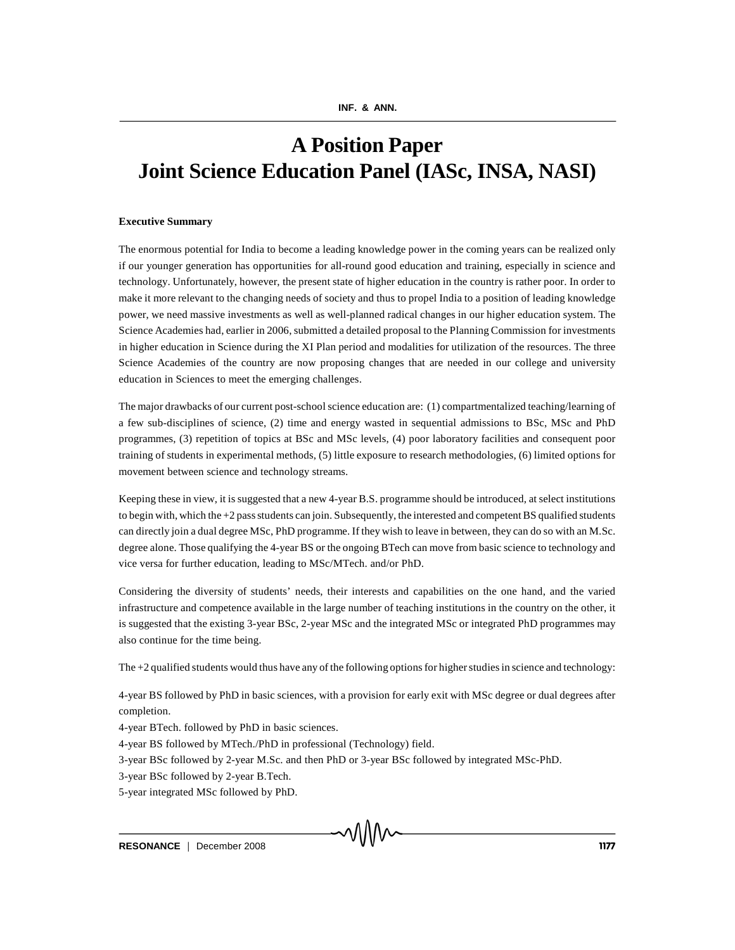# **A Position Paper Joint Science Education Panel (IASc, INSA, NASI)**

## **Executive Summary**

The enormous potential for India to become a leading knowledge power in the coming years can be realized only if our younger generation has opportunities for all-round good education and training, especially in science and technology. Unfortunately, however, the present state of higher education in the country is rather poor. In order to make it more relevant to the changing needs of society and thus to propel India to a position of leading knowledge power, we need massive investments as well as well-planned radical changes in our higher education system. The Science Academies had, earlier in 2006, submitted a detailed proposal to the Planning Commission for investments in higher education in Science during the XI Plan period and modalities for utilization of the resources. The three Science Academies of the country are now proposing changes that are needed in our college and university education in Sciences to meet the emerging challenges.

The major drawbacks of our current post-school science education are: (1) compartmentalized teaching/learning of a few sub-disciplines of science, (2) time and energy wasted in sequential admissions to BSc, MSc and PhD programmes, (3) repetition of topics at BSc and MSc levels, (4) poor laboratory facilities and consequent poor training of students in experimental methods, (5) little exposure to research methodologies, (6) limited options for movement between science and technology streams.

Keeping these in view, it is suggested that a new 4-year B.S. programme should be introduced, at select institutions to begin with, which the +2 pass students can join. Subsequently, the interested and competent BS qualified students can directly join a dual degree MSc, PhD programme. If they wish to leave in between, they can do so with an M.Sc. degree alone. Those qualifying the 4-year BS or the ongoing BTech can move from basic science to technology and vice versa for further education, leading to MSc/MTech. and/or PhD.

Considering the diversity of students' needs, their interests and capabilities on the one hand, and the varied infrastructure and competence available in the large number of teaching institutions in the country on the other, it is suggested that the existing 3-year BSc, 2-year MSc and the integrated MSc or integrated PhD programmes may also continue for the time being.

The +2 qualified students would thus have any of the following options for higher studies in science and technology:

4-year BS followed by PhD in basic sciences, with a provision for early exit with MSc degree or dual degrees after completion.

4-year BTech. followed by PhD in basic sciences.

4-year BS followed by MTech./PhD in professional (Technology) field.

3-year BSc followed by 2-year M.Sc. and then PhD or 3-year BSc followed by integrated MSc-PhD.

3-year BSc followed by 2-year B.Tech.

5-year integrated MSc followed by PhD.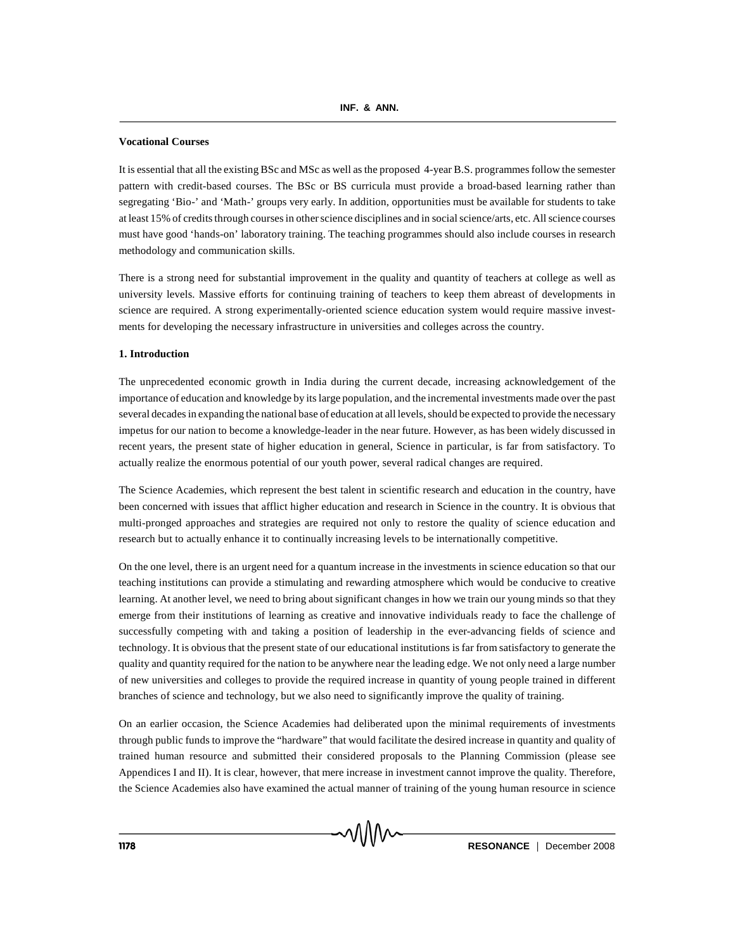#### **Vocational Courses**

It is essential that all the existing BSc and MSc as well as the proposed 4-year B.S. programmes follow the semester pattern with credit-based courses. The BSc or BS curricula must provide a broad-based learning rather than segregating 'Bio-' and 'Math-' groups very early. In addition, opportunities must be available for students to take at least 15% of credits through courses in other science disciplines and in social science/arts, etc. All science courses must have good 'hands-on' laboratory training. The teaching programmes should also include courses in research methodology and communication skills.

There is a strong need for substantial improvement in the quality and quantity of teachers at college as well as university levels. Massive efforts for continuing training of teachers to keep them abreast of developments in science are required. A strong experimentally-oriented science education system would require massive investments for developing the necessary infrastructure in universities and colleges across the country.

## **1. Introduction**

The unprecedented economic growth in India during the current decade, increasing acknowledgement of the importance of education and knowledge by its large population, and the incremental investments made over the past several decades in expanding the national base of education at all levels, should be expected to provide the necessary impetus for our nation to become a knowledge-leader in the near future. However, as has been widely discussed in recent years, the present state of higher education in general, Science in particular, is far from satisfactory. To actually realize the enormous potential of our youth power, several radical changes are required.

The Science Academies, which represent the best talent in scientific research and education in the country, have been concerned with issues that afflict higher education and research in Science in the country. It is obvious that multi-pronged approaches and strategies are required not only to restore the quality of science education and research but to actually enhance it to continually increasing levels to be internationally competitive.

On the one level, there is an urgent need for a quantum increase in the investments in science education so that our teaching institutions can provide a stimulating and rewarding atmosphere which would be conducive to creative learning. At another level, we need to bring about significant changes in how we train our young minds so that they emerge from their institutions of learning as creative and innovative individuals ready to face the challenge of successfully competing with and taking a position of leadership in the ever-advancing fields of science and technology. It is obvious that the present state of our educational institutions is far from satisfactory to generate the quality and quantity required for the nation to be anywhere near the leading edge. We not only need a large number of new universities and colleges to provide the required increase in quantity of young people trained in different branches of science and technology, but we also need to significantly improve the quality of training.

On an earlier occasion, the Science Academies had deliberated upon the minimal requirements of investments through public funds to improve the "hardware" that would facilitate the desired increase in quantity and quality of trained human resource and submitted their considered proposals to the Planning Commission (please see Appendices I and II). It is clear, however, that mere increase in investment cannot improve the quality. Therefore, the Science Academies also have examined the actual manner of training of the young human resource in science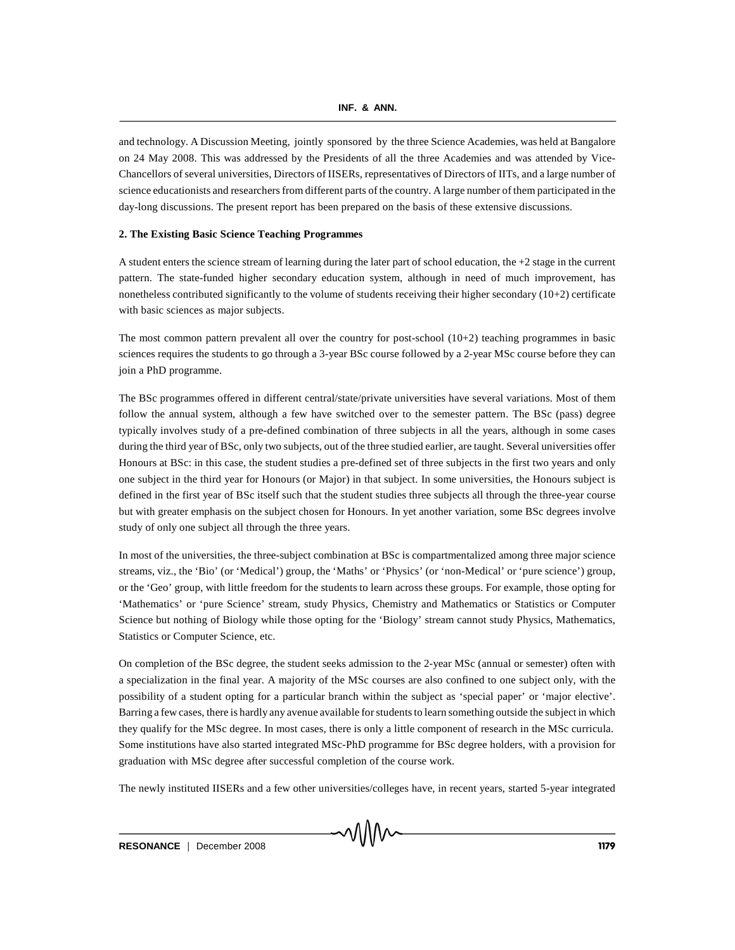and technology. A Discussion Meeting, jointly sponsored by the three Science Academies, was held at Bangalore on 24 May 2008. This was addressed by the Presidents of all the three Academies and was attended by Vice-Chancellors of several universities, Directors of IISERs, representatives of Directors of IITs, and a large number of science educationists and researchers from different parts of the country. A large number of them participated in the day-long discussions. The present report has been prepared on the basis of these extensive discussions.

## **2. The Existing Basic Science Teaching Programmes**

A student enters the science stream of learning during the later part of school education, the +2 stage in the current pattern. The state-funded higher secondary education system, although in need of much improvement, has nonetheless contributed significantly to the volume of students receiving their higher secondary  $(10+2)$  certificate with basic sciences as major subjects.

The most common pattern prevalent all over the country for post-school  $(10+2)$  teaching programmes in basic sciences requires the students to go through a 3-year BSc course followed by a 2-year MSc course before they can join a PhD programme.

The BSc programmes offered in different central/state/private universities have several variations. Most of them follow the annual system, although a few have switched over to the semester pattern. The BSc (pass) degree typically involves study of a pre-defined combination of three subjects in all the years, although in some cases during the third year of BSc, only two subjects, out of the three studied earlier, are taught. Several universities offer Honours at BSc: in this case, the student studies a pre-defined set of three subjects in the first two years and only one subject in the third year for Honours (or Major) in that subject. In some universities, the Honours subject is defined in the first year of BSc itself such that the student studies three subjects all through the three-year course but with greater emphasis on the subject chosen for Honours. In yet another variation, some BSc degrees involve study of only one subject all through the three years.

In most of the universities, the three-subject combination at BSc is compartmentalized among three major science streams, viz., the 'Bio' (or 'Medical') group, the 'Maths' or 'Physics' (or 'non-Medical' or 'pure science') group, or the 'Geo' group, with little freedom for the students to learn across these groups. For example, those opting for 'Mathematics' or 'pure Science' stream, study Physics, Chemistry and Mathematics or Statistics or Computer Science but nothing of Biology while those opting for the 'Biology' stream cannot study Physics, Mathematics, Statistics or Computer Science, etc.

On completion of the BSc degree, the student seeks admission to the 2-year MSc (annual or semester) often with a specialization in the final year. A majority of the MSc courses are also confined to one subject only, with the possibility of a student opting for a particular branch within the subject as 'special paper' or 'major elective'. Barring a few cases, there is hardly any avenue available for students to learn something outside the subject in which they qualify for the MSc degree. In most cases, there is only a little component of research in the MSc curricula. Some institutions have also started integrated MSc-PhD programme for BSc degree holders, with a provision for graduation with MSc degree after successful completion of the course work.

The newly instituted IISERs and a few other universities/colleges have, in recent years, started 5-year integrated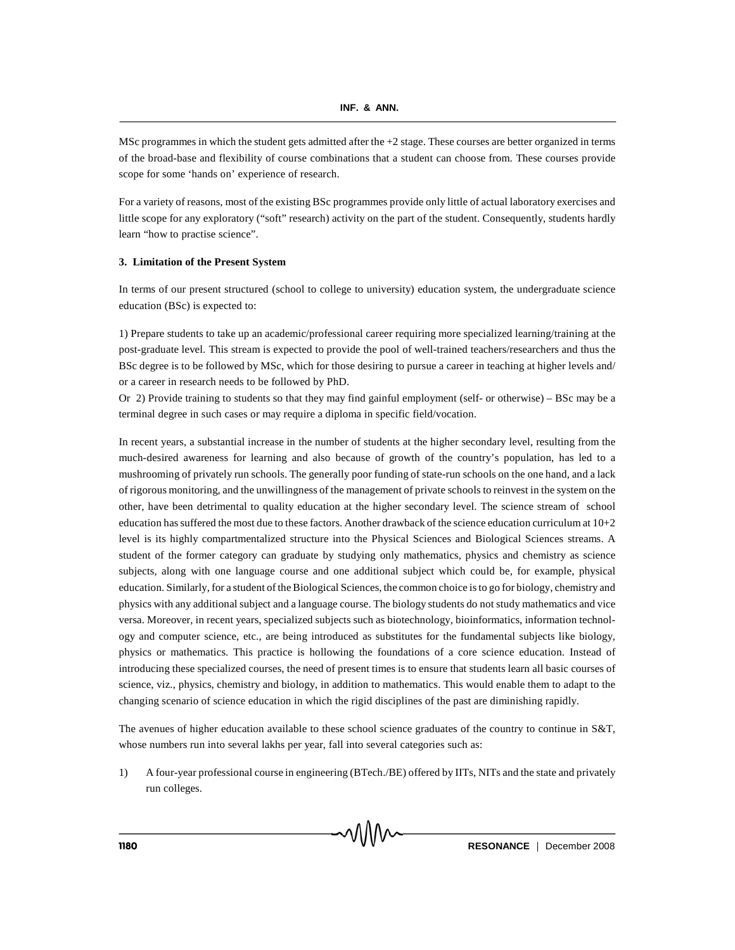MSc programmes in which the student gets admitted after the +2 stage. These courses are better organized in terms of the broad-base and flexibility of course combinations that a student can choose from. These courses provide scope for some 'hands on' experience of research.

For a variety of reasons, most of the existing BSc programmes provide only little of actual laboratory exercises and little scope for any exploratory ("soft" research) activity on the part of the student. Consequently, students hardly learn "how to practise science".

## **3. Limitation of the Present System**

In terms of our present structured (school to college to university) education system, the undergraduate science education (BSc) is expected to:

1) Prepare students to take up an academic/professional career requiring more specialized learning/training at the post-graduate level. This stream is expected to provide the pool of well-trained teachers/researchers and thus the BSc degree is to be followed by MSc, which for those desiring to pursue a career in teaching at higher levels and/ or a career in research needs to be followed by PhD.

Or 2) Provide training to students so that they may find gainful employment (self- or otherwise) – BSc may be a terminal degree in such cases or may require a diploma in specific field/vocation.

In recent years, a substantial increase in the number of students at the higher secondary level, resulting from the much-desired awareness for learning and also because of growth of the country's population, has led to a mushrooming of privately run schools. The generally poor funding of state-run schools on the one hand, and a lack of rigorous monitoring, and the unwillingness of the management of private schools to reinvest in the system on the other, have been detrimental to quality education at the higher secondary level. The science stream of school education has suffered the most due to these factors. Another drawback of the science education curriculum at  $10+2$ level is its highly compartmentalized structure into the Physical Sciences and Biological Sciences streams. A student of the former category can graduate by studying only mathematics, physics and chemistry as science subjects, along with one language course and one additional subject which could be, for example, physical education. Similarly, for a student of the Biological Sciences, the common choice is to go for biology, chemistry and physics with any additional subject and a language course. The biology students do not study mathematics and vice versa. Moreover, in recent years, specialized subjects such as biotechnology, bioinformatics, information technology and computer science, etc., are being introduced as substitutes for the fundamental subjects like biology, physics or mathematics. This practice is hollowing the foundations of a core science education. Instead of introducing these specialized courses, the need of present times is to ensure that students learn all basic courses of science, viz., physics, chemistry and biology, in addition to mathematics. This would enable them to adapt to the changing scenario of science education in which the rigid disciplines of the past are diminishing rapidly.

The avenues of higher education available to these school science graduates of the country to continue in S&T, whose numbers run into several lakhs per year, fall into several categories such as:

1) A four-year professional course in engineering (BTech./BE) offered by IITs, NITs and the state and privately run colleges.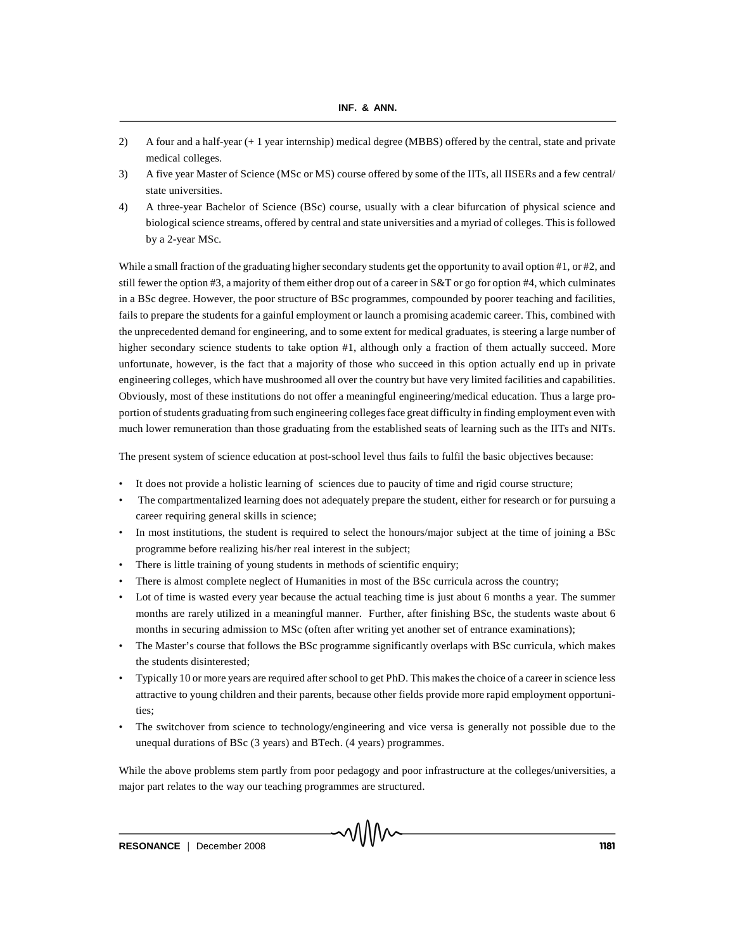- 2) A four and a half-year (+ 1 year internship) medical degree (MBBS) offered by the central, state and private medical colleges.
- 3) A five year Master of Science (MSc or MS) course offered by some of the IITs, all IISERs and a few central/ state universities.
- 4) A three-year Bachelor of Science (BSc) course, usually with a clear bifurcation of physical science and biological science streams, offered by central and state universities and a myriad of colleges. This is followed by a 2-year MSc.

While a small fraction of the graduating higher secondary students get the opportunity to avail option #1, or #2, and still fewer the option #3, a majority of them either drop out of a career in S&T or go for option #4, which culminates in a BSc degree. However, the poor structure of BSc programmes, compounded by poorer teaching and facilities, fails to prepare the students for a gainful employment or launch a promising academic career. This, combined with the unprecedented demand for engineering, and to some extent for medical graduates, is steering a large number of higher secondary science students to take option #1, although only a fraction of them actually succeed. More unfortunate, however, is the fact that a majority of those who succeed in this option actually end up in private engineering colleges, which have mushroomed all over the country but have very limited facilities and capabilities. Obviously, most of these institutions do not offer a meaningful engineering/medical education. Thus a large proportion of students graduating from such engineering colleges face great difficulty in finding employment even with much lower remuneration than those graduating from the established seats of learning such as the IITs and NITs.

The present system of science education at post-school level thus fails to fulfil the basic objectives because:

- It does not provide a holistic learning of sciences due to paucity of time and rigid course structure;
- The compartmentalized learning does not adequately prepare the student, either for research or for pursuing a career requiring general skills in science;
- In most institutions, the student is required to select the honours/major subject at the time of joining a BSc programme before realizing his/her real interest in the subject;
- There is little training of young students in methods of scientific enquiry;
- There is almost complete neglect of Humanities in most of the BSc curricula across the country;
- Lot of time is wasted every year because the actual teaching time is just about 6 months a year. The summer months are rarely utilized in a meaningful manner. Further, after finishing BSc, the students waste about 6 months in securing admission to MSc (often after writing yet another set of entrance examinations);
- The Master's course that follows the BSc programme significantly overlaps with BSc curricula, which makes the students disinterested;
- Typically 10 or more years are required after school to get PhD. This makes the choice of a career in science less attractive to young children and their parents, because other fields provide more rapid employment opportunities;
- The switchover from science to technology/engineering and vice versa is generally not possible due to the unequal durations of BSc (3 years) and BTech. (4 years) programmes.

While the above problems stem partly from poor pedagogy and poor infrastructure at the colleges/universities, a major part relates to the way our teaching programmes are structured.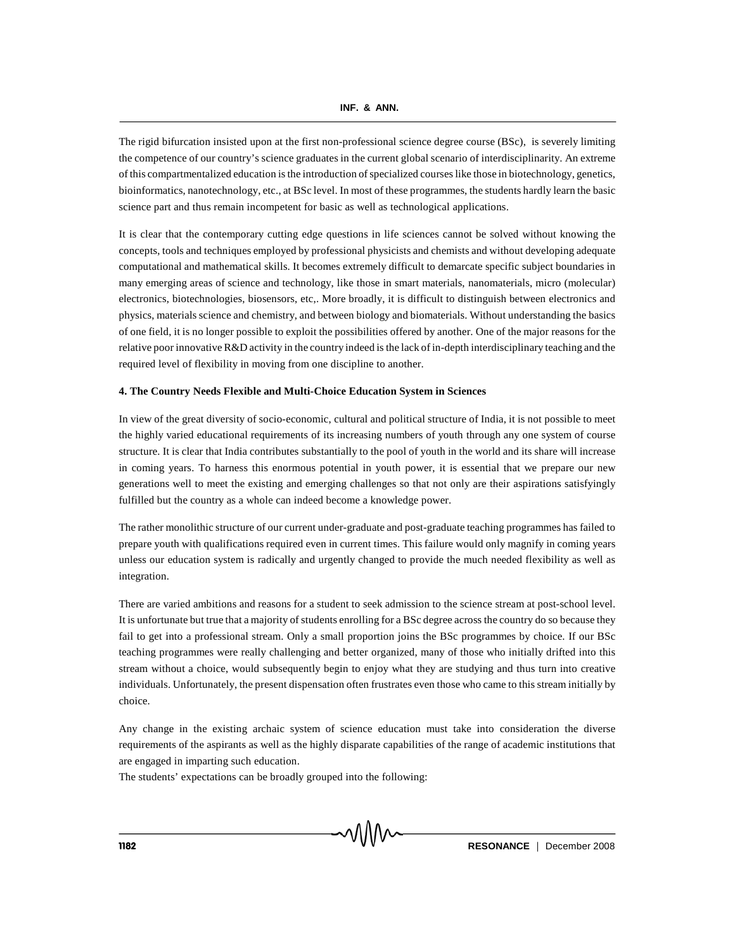The rigid bifurcation insisted upon at the first non-professional science degree course (BSc), is severely limiting the competence of our country's science graduates in the current global scenario of interdisciplinarity. An extreme of this compartmentalized education is the introduction of specialized courses like those in biotechnology, genetics, bioinformatics, nanotechnology, etc., at BSc level. In most of these programmes, the students hardly learn the basic science part and thus remain incompetent for basic as well as technological applications.

It is clear that the contemporary cutting edge questions in life sciences cannot be solved without knowing the concepts, tools and techniques employed by professional physicists and chemists and without developing adequate computational and mathematical skills. It becomes extremely difficult to demarcate specific subject boundaries in many emerging areas of science and technology, like those in smart materials, nanomaterials, micro (molecular) electronics, biotechnologies, biosensors, etc,. More broadly, it is difficult to distinguish between electronics and physics, materials science and chemistry, and between biology and biomaterials. Without understanding the basics of one field, it is no longer possible to exploit the possibilities offered by another. One of the major reasons for the relative poor innovative R&D activity in the country indeed is the lack of in-depth interdisciplinary teaching and the required level of flexibility in moving from one discipline to another.

#### **4. The Country Needs Flexible and Multi-Choice Education System in Sciences**

In view of the great diversity of socio-economic, cultural and political structure of India, it is not possible to meet the highly varied educational requirements of its increasing numbers of youth through any one system of course structure. It is clear that India contributes substantially to the pool of youth in the world and its share will increase in coming years. To harness this enormous potential in youth power, it is essential that we prepare our new generations well to meet the existing and emerging challenges so that not only are their aspirations satisfyingly fulfilled but the country as a whole can indeed become a knowledge power.

The rather monolithic structure of our current under-graduate and post-graduate teaching programmes has failed to prepare youth with qualifications required even in current times. This failure would only magnify in coming years unless our education system is radically and urgently changed to provide the much needed flexibility as well as integration.

There are varied ambitions and reasons for a student to seek admission to the science stream at post-school level. It is unfortunate but true that a majority of students enrolling for a BSc degree across the country do so because they fail to get into a professional stream. Only a small proportion joins the BSc programmes by choice. If our BSc teaching programmes were really challenging and better organized, many of those who initially drifted into this stream without a choice, would subsequently begin to enjoy what they are studying and thus turn into creative individuals. Unfortunately, the present dispensation often frustrates even those who came to this stream initially by choice.

Any change in the existing archaic system of science education must take into consideration the diverse requirements of the aspirants as well as the highly disparate capabilities of the range of academic institutions that are engaged in imparting such education.

The students' expectations can be broadly grouped into the following: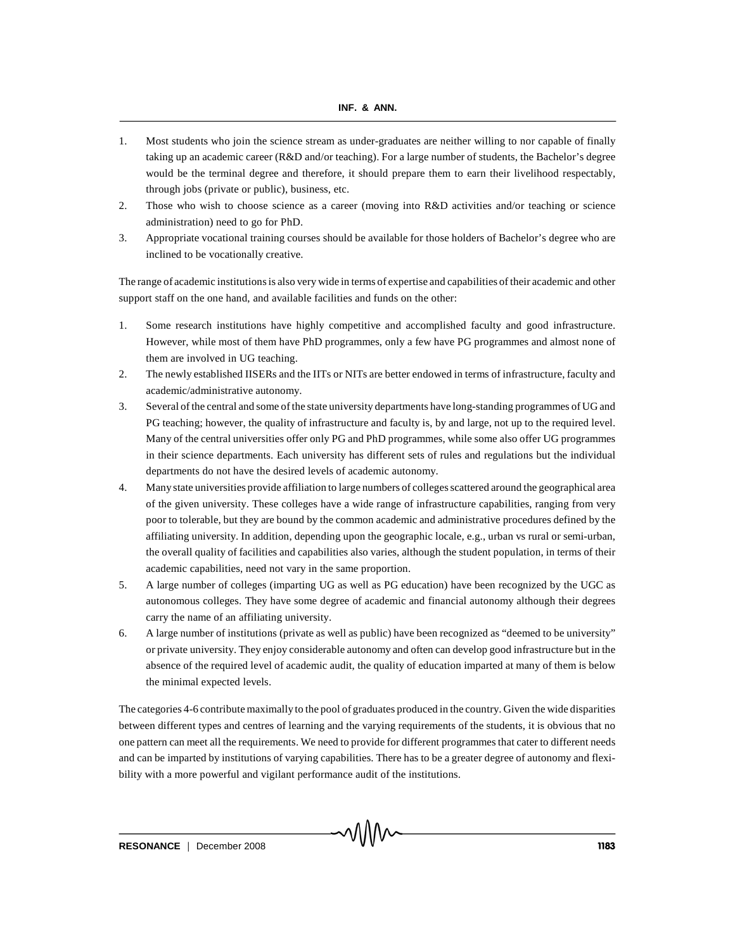- 1. Most students who join the science stream as under-graduates are neither willing to nor capable of finally taking up an academic career (R&D and/or teaching). For a large number of students, the Bachelor's degree would be the terminal degree and therefore, it should prepare them to earn their livelihood respectably, through jobs (private or public), business, etc.
- 2. Those who wish to choose science as a career (moving into R&D activities and/or teaching or science administration) need to go for PhD.
- 3. Appropriate vocational training courses should be available for those holders of Bachelor's degree who are inclined to be vocationally creative.

The range of academic institutions is also very wide in terms of expertise and capabilities of their academic and other support staff on the one hand, and available facilities and funds on the other:

- 1. Some research institutions have highly competitive and accomplished faculty and good infrastructure. However, while most of them have PhD programmes, only a few have PG programmes and almost none of them are involved in UG teaching.
- 2. The newly established IISERs and the IITs or NITs are better endowed in terms of infrastructure, faculty and academic/administrative autonomy.
- 3. Several of the central and some of the state university departments have long-standing programmes of UG and PG teaching; however, the quality of infrastructure and faculty is, by and large, not up to the required level. Many of the central universities offer only PG and PhD programmes, while some also offer UG programmes in their science departments. Each university has different sets of rules and regulations but the individual departments do not have the desired levels of academic autonomy.
- 4. Many state universities provide affiliation to large numbers of colleges scattered around the geographical area of the given university. These colleges have a wide range of infrastructure capabilities, ranging from very poor to tolerable, but they are bound by the common academic and administrative procedures defined by the affiliating university. In addition, depending upon the geographic locale, e.g., urban vs rural or semi-urban, the overall quality of facilities and capabilities also varies, although the student population, in terms of their academic capabilities, need not vary in the same proportion.
- 5. A large number of colleges (imparting UG as well as PG education) have been recognized by the UGC as autonomous colleges. They have some degree of academic and financial autonomy although their degrees carry the name of an affiliating university.
- 6. A large number of institutions (private as well as public) have been recognized as "deemed to be university" or private university. They enjoy considerable autonomy and often can develop good infrastructure but in the absence of the required level of academic audit, the quality of education imparted at many of them is below the minimal expected levels.

The categories 4-6 contribute maximally to the pool of graduates produced in the country. Given the wide disparities between different types and centres of learning and the varying requirements of the students, it is obvious that no one pattern can meet all the requirements. We need to provide for different programmes that cater to different needs and can be imparted by institutions of varying capabilities. There has to be a greater degree of autonomy and flexibility with a more powerful and vigilant performance audit of the institutions.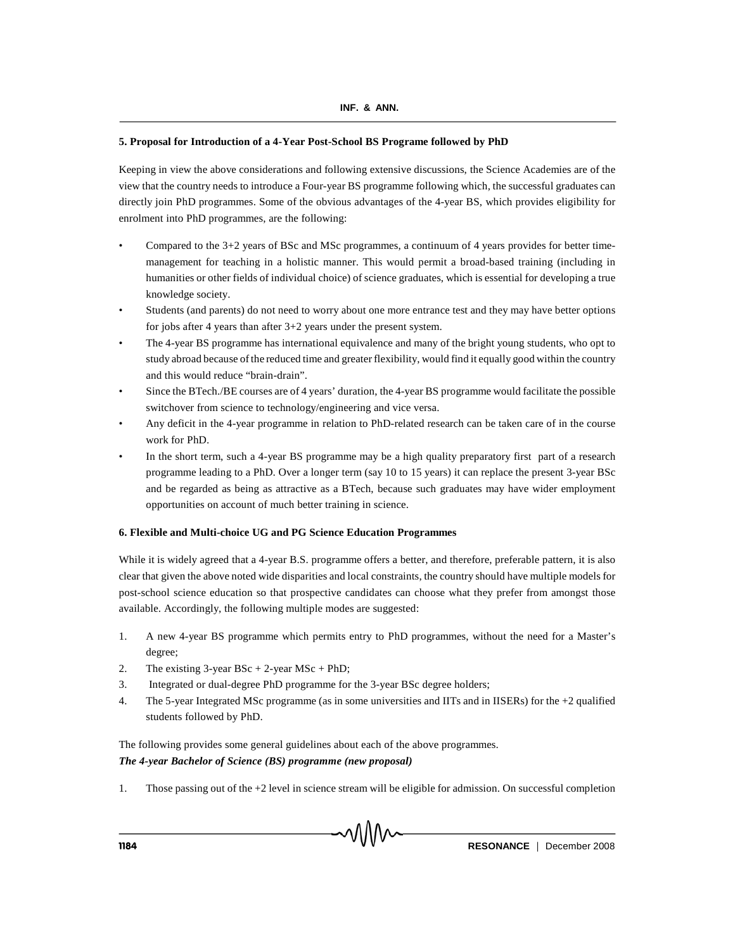# **5. Proposal for Introduction of a 4-Year Post-School BS Programe followed by PhD**

Keeping in view the above considerations and following extensive discussions, the Science Academies are of the view that the country needs to introduce a Four-year BS programme following which, the successful graduates can directly join PhD programmes. Some of the obvious advantages of the 4-year BS, which provides eligibility for enrolment into PhD programmes, are the following:

- Compared to the 3+2 years of BSc and MSc programmes, a continuum of 4 years provides for better timemanagement for teaching in a holistic manner. This would permit a broad-based training (including in humanities or other fields of individual choice) of science graduates, which is essential for developing a true knowledge society.
- Students (and parents) do not need to worry about one more entrance test and they may have better options for jobs after 4 years than after 3+2 years under the present system.
- The 4-year BS programme has international equivalence and many of the bright young students, who opt to study abroad because of the reduced time and greater flexibility, would find it equally good within the country and this would reduce "brain-drain".
- Since the BTech./BE courses are of 4 years' duration, the 4-year BS programme would facilitate the possible switchover from science to technology/engineering and vice versa.
- Any deficit in the 4-year programme in relation to PhD-related research can be taken care of in the course work for PhD.
- In the short term, such a 4-year BS programme may be a high quality preparatory first part of a research programme leading to a PhD. Over a longer term (say 10 to 15 years) it can replace the present 3-year BSc and be regarded as being as attractive as a BTech, because such graduates may have wider employment opportunities on account of much better training in science.

# **6. Flexible and Multi-choice UG and PG Science Education Programmes**

While it is widely agreed that a 4-year B.S. programme offers a better, and therefore, preferable pattern, it is also clear that given the above noted wide disparities and local constraints, the country should have multiple models for post-school science education so that prospective candidates can choose what they prefer from amongst those available. Accordingly, the following multiple modes are suggested:

- 1. A new 4-year BS programme which permits entry to PhD programmes, without the need for a Master's degree;
- 2. The existing  $3$ -year BSc + 2-year MSc + PhD;
- 3. Integrated or dual-degree PhD programme for the 3-year BSc degree holders;
- 4. The 5-year Integrated MSc programme (as in some universities and IITs and in IISERs) for the +2 qualified students followed by PhD.

The following provides some general guidelines about each of the above programmes. *The 4-year Bachelor of Science (BS) programme (new proposal)*

1. Those passing out of the +2 level in science stream will be eligible for admission. On successful completion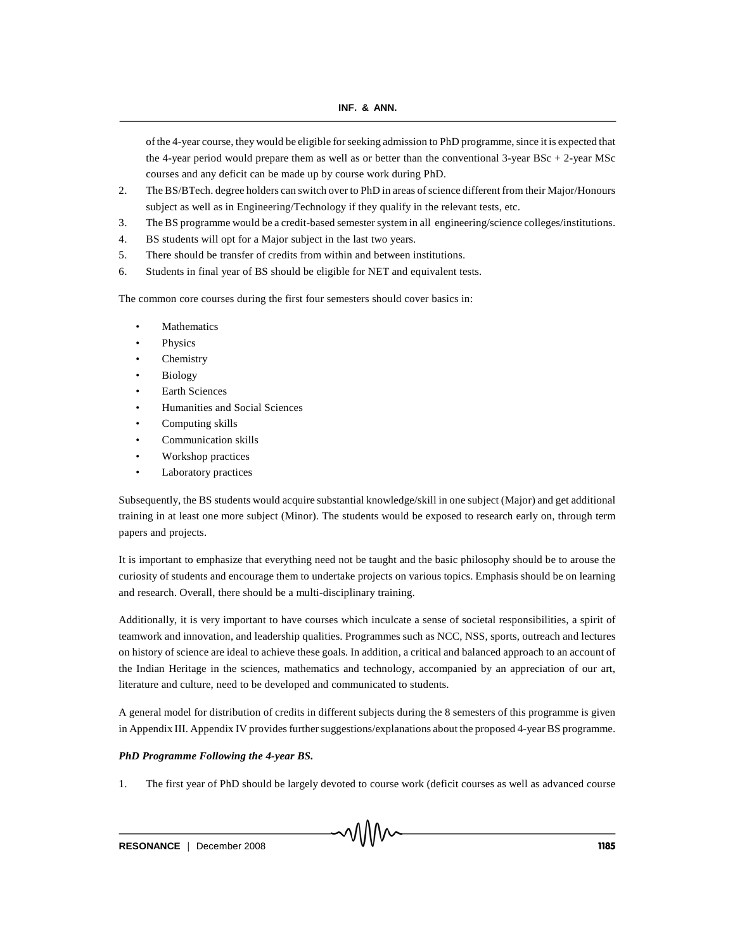of the 4-year course, they would be eligible for seeking admission to PhD programme, since it is expected that the 4-year period would prepare them as well as or better than the conventional 3-year BSc + 2-year MSc courses and any deficit can be made up by course work during PhD.

- 2. The BS/BTech. degree holders can switch over to PhD in areas of science different from their Major/Honours subject as well as in Engineering/Technology if they qualify in the relevant tests, etc.
- 3. The BS programme would be a credit-based semester system in all engineering/science colleges/institutions.
- 4. BS students will opt for a Major subject in the last two years.
- 5. There should be transfer of credits from within and between institutions.
- 6. Students in final year of BS should be eligible for NET and equivalent tests.

The common core courses during the first four semesters should cover basics in:

- **Mathematics**
- **Physics**
- Chemistry
- **Biology**
- Earth Sciences
- Humanities and Social Sciences
- Computing skills
- Communication skills
- Workshop practices
- Laboratory practices

Subsequently, the BS students would acquire substantial knowledge/skill in one subject (Major) and get additional training in at least one more subject (Minor). The students would be exposed to research early on, through term papers and projects.

It is important to emphasize that everything need not be taught and the basic philosophy should be to arouse the curiosity of students and encourage them to undertake projects on various topics. Emphasis should be on learning and research. Overall, there should be a multi-disciplinary training.

Additionally, it is very important to have courses which inculcate a sense of societal responsibilities, a spirit of teamwork and innovation, and leadership qualities. Programmes such as NCC, NSS, sports, outreach and lectures on history of science are ideal to achieve these goals. In addition, a critical and balanced approach to an account of the Indian Heritage in the sciences, mathematics and technology, accompanied by an appreciation of our art, literature and culture, need to be developed and communicated to students.

A general model for distribution of credits in different subjects during the 8 semesters of this programme is given in Appendix III. Appendix IV provides further suggestions/explanations about the proposed 4-year BS programme.

# *PhD Programme Following the 4-year BS.*

1. The first year of PhD should be largely devoted to course work (deficit courses as well as advanced course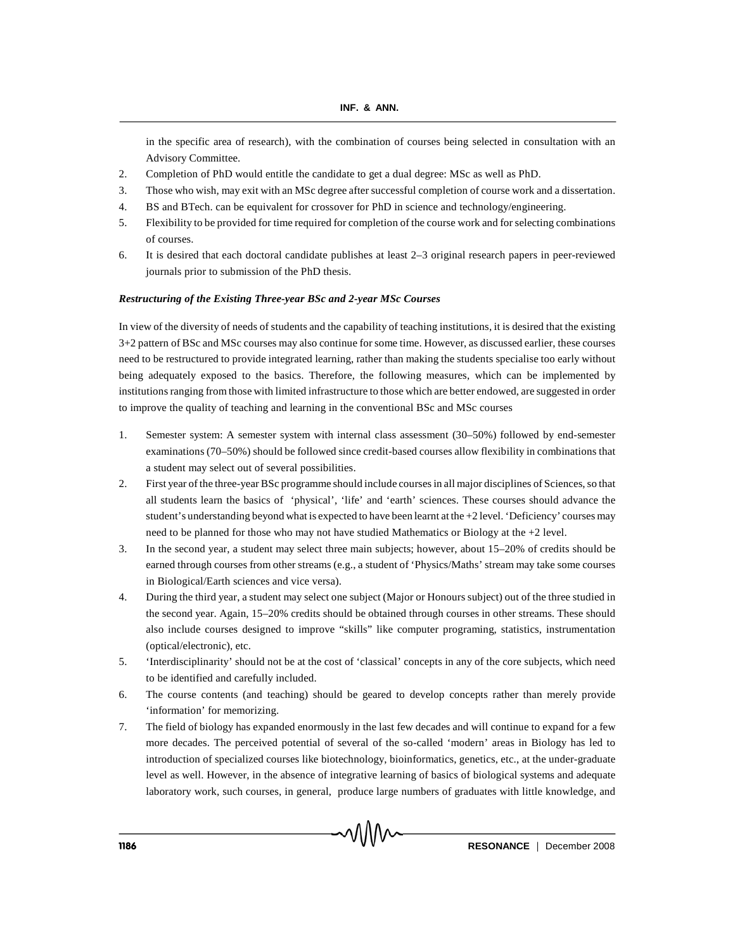in the specific area of research), with the combination of courses being selected in consultation with an Advisory Committee.

- 2. Completion of PhD would entitle the candidate to get a dual degree: MSc as well as PhD.
- 3. Those who wish, may exit with an MSc degree after successful completion of course work and a dissertation.
- 4. BS and BTech. can be equivalent for crossover for PhD in science and technology/engineering.
- 5. Flexibility to be provided for time required for completion of the course work and for selecting combinations of courses.
- 6. It is desired that each doctoral candidate publishes at least 2–3 original research papers in peer-reviewed journals prior to submission of the PhD thesis.

### *Restructuring of the Existing Three-year BSc and 2-year MSc Courses*

In view of the diversity of needs of students and the capability of teaching institutions, it is desired that the existing 3+2 pattern of BSc and MSc courses may also continue for some time. However, as discussed earlier, these courses need to be restructured to provide integrated learning, rather than making the students specialise too early without being adequately exposed to the basics. Therefore, the following measures, which can be implemented by institutions ranging from those with limited infrastructure to those which are better endowed, are suggested in order to improve the quality of teaching and learning in the conventional BSc and MSc courses

- 1. Semester system: A semester system with internal class assessment (30–50%) followed by end-semester examinations (70–50%) should be followed since credit-based courses allow flexibility in combinations that a student may select out of several possibilities.
- 2. First year of the three-year BSc programme should include courses in all major disciplines of Sciences, so that all students learn the basics of 'physical', 'life' and 'earth' sciences. These courses should advance the student's understanding beyond what is expected to have been learnt at the +2 level. 'Deficiency' courses may need to be planned for those who may not have studied Mathematics or Biology at the +2 level.
- 3. In the second year, a student may select three main subjects; however, about 15–20% of credits should be earned through courses from other streams (e.g., a student of 'Physics/Maths' stream may take some courses in Biological/Earth sciences and vice versa).
- 4. During the third year, a student may select one subject (Major or Honours subject) out of the three studied in the second year. Again, 15–20% credits should be obtained through courses in other streams. These should also include courses designed to improve "skills" like computer programing, statistics, instrumentation (optical/electronic), etc.
- 5. 'Interdisciplinarity' should not be at the cost of 'classical' concepts in any of the core subjects, which need to be identified and carefully included.
- 6. The course contents (and teaching) should be geared to develop concepts rather than merely provide 'information' for memorizing.
- 7. The field of biology has expanded enormously in the last few decades and will continue to expand for a few more decades. The perceived potential of several of the so-called 'modern' areas in Biology has led to introduction of specialized courses like biotechnology, bioinformatics, genetics, etc., at the under-graduate level as well. However, in the absence of integrative learning of basics of biological systems and adequate laboratory work, such courses, in general, produce large numbers of graduates with little knowledge, and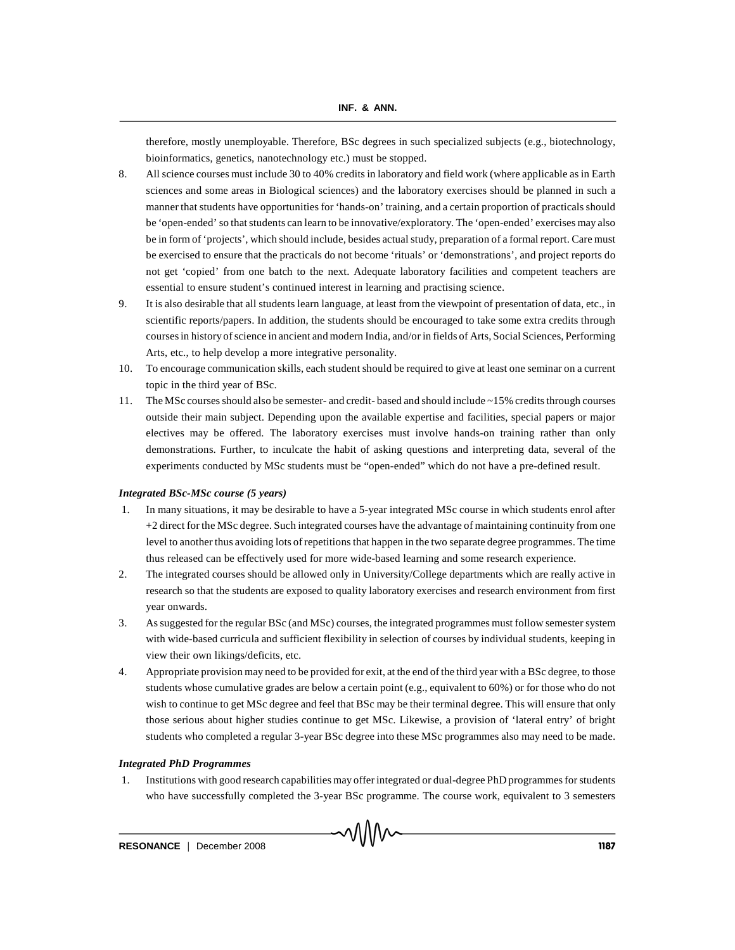therefore, mostly unemployable. Therefore, BSc degrees in such specialized subjects (e.g., biotechnology, bioinformatics, genetics, nanotechnology etc.) must be stopped.

- 8. All science courses must include 30 to 40% credits in laboratory and field work (where applicable as in Earth sciences and some areas in Biological sciences) and the laboratory exercises should be planned in such a manner that students have opportunities for 'hands-on' training, and a certain proportion of practicals should be 'open-ended' so that students can learn to be innovative/exploratory. The 'open-ended' exercises may also be in form of 'projects', which should include, besides actual study, preparation of a formal report. Care must be exercised to ensure that the practicals do not become 'rituals' or 'demonstrations', and project reports do not get 'copied' from one batch to the next. Adequate laboratory facilities and competent teachers are essential to ensure student's continued interest in learning and practising science.
- 9. It is also desirable that all students learn language, at least from the viewpoint of presentation of data, etc., in scientific reports/papers. In addition, the students should be encouraged to take some extra credits through courses in history of science in ancient and modern India, and/or in fields of Arts, Social Sciences, Performing Arts, etc., to help develop a more integrative personality.
- 10. To encourage communication skills, each student should be required to give at least one seminar on a current topic in the third year of BSc.
- 11. The MSc courses should also be semester- and credit- based and should include ~15% credits through courses outside their main subject. Depending upon the available expertise and facilities, special papers or major electives may be offered. The laboratory exercises must involve hands-on training rather than only demonstrations. Further, to inculcate the habit of asking questions and interpreting data, several of the experiments conducted by MSc students must be "open-ended" which do not have a pre-defined result.

#### *Integrated BSc-MSc course (5 years)*

- 1. In many situations, it may be desirable to have a 5-year integrated MSc course in which students enrol after +2 direct for the MSc degree. Such integrated courses have the advantage of maintaining continuity from one level to another thus avoiding lots of repetitions that happen in the two separate degree programmes. The time thus released can be effectively used for more wide-based learning and some research experience.
- 2. The integrated courses should be allowed only in University/College departments which are really active in research so that the students are exposed to quality laboratory exercises and research environment from first year onwards.
- 3. As suggested for the regular BSc (and MSc) courses, the integrated programmes must follow semester system with wide-based curricula and sufficient flexibility in selection of courses by individual students, keeping in view their own likings/deficits, etc.
- 4. Appropriate provision may need to be provided for exit, at the end of the third year with a BSc degree, to those students whose cumulative grades are below a certain point (e.g., equivalent to 60%) or for those who do not wish to continue to get MSc degree and feel that BSc may be their terminal degree. This will ensure that only those serious about higher studies continue to get MSc. Likewise, a provision of 'lateral entry' of bright students who completed a regular 3-year BSc degree into these MSc programmes also may need to be made.

## *Integrated PhD Programmes*

1. Institutions with good research capabilities may offer integrated or dual-degree PhD programmes for students who have successfully completed the 3-year BSc programme. The course work, equivalent to 3 semesters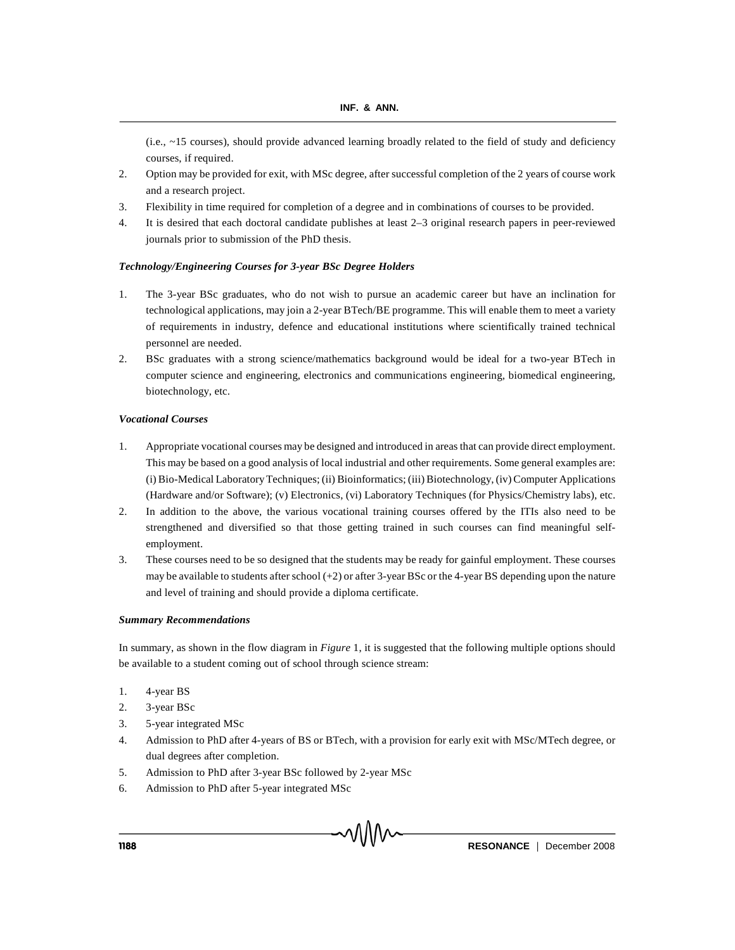(i.e.,  $\sim$  15 courses), should provide advanced learning broadly related to the field of study and deficiency courses, if required.

- 2. Option may be provided for exit, with MSc degree, after successful completion of the 2 years of course work and a research project.
- 3. Flexibility in time required for completion of a degree and in combinations of courses to be provided.
- 4. It is desired that each doctoral candidate publishes at least 2–3 original research papers in peer-reviewed journals prior to submission of the PhD thesis.

### *Technology/Engineering Courses for 3-year BSc Degree Holders*

- 1. The 3-year BSc graduates, who do not wish to pursue an academic career but have an inclination for technological applications, may join a 2-year BTech/BE programme. This will enable them to meet a variety of requirements in industry, defence and educational institutions where scientifically trained technical personnel are needed.
- 2. BSc graduates with a strong science/mathematics background would be ideal for a two-year BTech in computer science and engineering, electronics and communications engineering, biomedical engineering, biotechnology, etc.

## *Vocational Courses*

- 1. Appropriate vocational courses may be designed and introduced in areas that can provide direct employment. This may be based on a good analysis of local industrial and other requirements. Some general examples are: (i) Bio-Medical Laboratory Techniques; (ii) Bioinformatics; (iii) Biotechnology, (iv) Computer Applications (Hardware and/or Software); (v) Electronics, (vi) Laboratory Techniques (for Physics/Chemistry labs), etc.
- 2. In addition to the above, the various vocational training courses offered by the ITIs also need to be strengthened and diversified so that those getting trained in such courses can find meaningful selfemployment.
- 3. These courses need to be so designed that the students may be ready for gainful employment. These courses may be available to students after school (+2) or after 3-year BSc or the 4-year BS depending upon the nature and level of training and should provide a diploma certificate.

#### *Summary Recommendations*

In summary, as shown in the flow diagram in *Figure* 1, it is suggested that the following multiple options should be available to a student coming out of school through science stream:

- 1. 4-year BS
- 2. 3-year BSc
- 3. 5-year integrated MSc
- 4. Admission to PhD after 4-years of BS or BTech, with a provision for early exit with MSc/MTech degree, or dual degrees after completion.
- 5. Admission to PhD after 3-year BSc followed by 2-year MSc
- 6. Admission to PhD after 5-year integrated MSc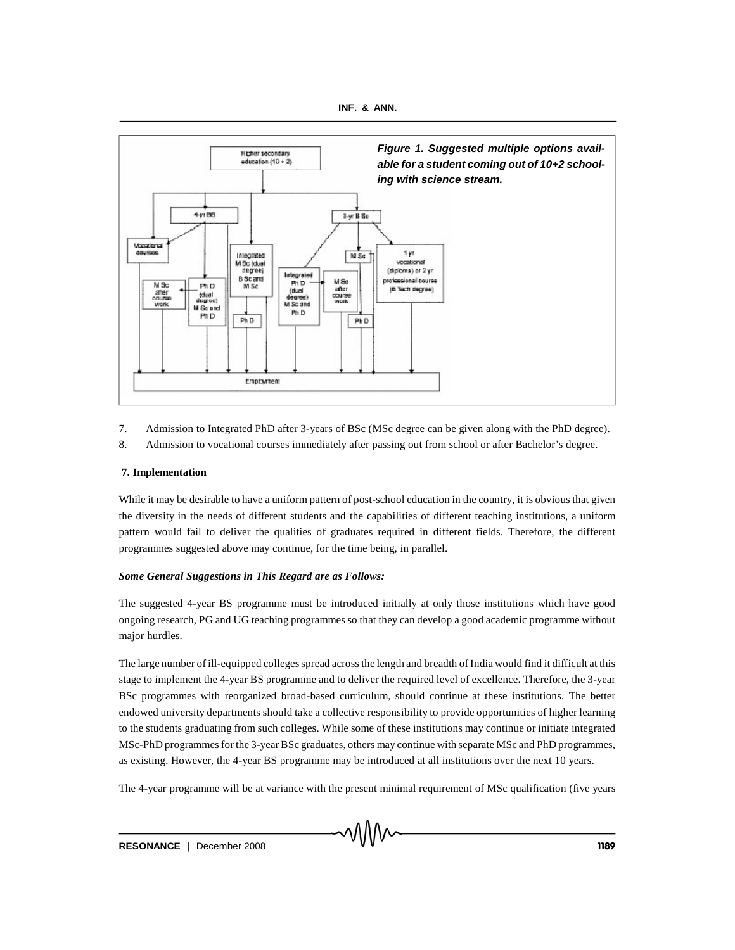



- 7. Admission to Integrated PhD after 3-years of BSc (MSc degree can be given along with the PhD degree).
- 8. Admission to vocational courses immediately after passing out from school or after Bachelor's degree.

# **7. Implementation**

While it may be desirable to have a uniform pattern of post-school education in the country, it is obvious that given the diversity in the needs of different students and the capabilities of different teaching institutions, a uniform pattern would fail to deliver the qualities of graduates required in different fields. Therefore, the different programmes suggested above may continue, for the time being, in parallel.

# *Some General Suggestions in This Regard are as Follows:*

The suggested 4-year BS programme must be introduced initially at only those institutions which have good ongoing research, PG and UG teaching programmes so that they can develop a good academic programme without major hurdles.

The large number of ill-equipped colleges spread across the length and breadth of India would find it difficult at this stage to implement the 4-year BS programme and to deliver the required level of excellence. Therefore, the 3-year BSc programmes with reorganized broad-based curriculum, should continue at these institutions. The better endowed university departments should take a collective responsibility to provide opportunities of higher learning to the students graduating from such colleges. While some of these institutions may continue or initiate integrated MSc-PhD programmes for the 3-year BSc graduates, others may continue with separate MSc and PhD programmes, as existing. However, the 4-year BS programme may be introduced at all institutions over the next 10 years.

The 4-year programme will be at variance with the present minimal requirement of MSc qualification (five years